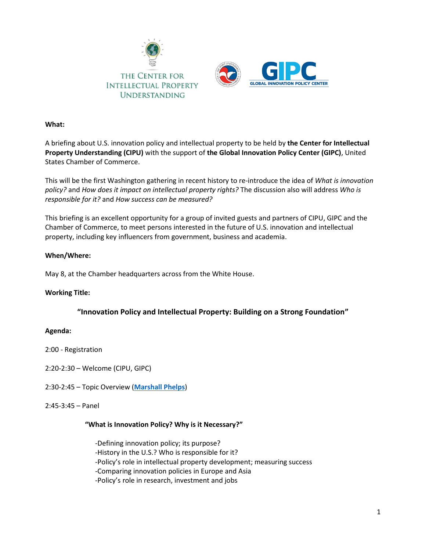

## **What:**

A briefing about U.S. innovation policy and intellectual property to be held by **the Center for Intellectual Property Understanding (CIPU)** with the support of **the Global Innovation Policy Center (GIPC)**, United States Chamber of Commerce.

This will be the first Washington gathering in recent history to re-introduce the idea of *What is innovation policy?* and *How does it impact on intellectual property rights?* The discussion also will address *Who is responsible for it?* and *How success can be measured?*

This briefing is an excellent opportunity for a group of invited guests and partners of CIPU, GIPC and the Chamber of Commerce, to meet persons interested in the future of U.S. innovation and intellectual property, including key influencers from government, business and academia.

## **When/Where:**

May 8, at the Chamber headquarters across from the White House.

## **Working Title:**

## **"Innovation Policy and Intellectual Property: Building on a Strong Foundation"**

#### **Agenda:**

2:00 - Registration

2:20-2:30 – Welcome (CIPU, GIPC)

2:30-2:45 – Topic Overview (**[Marshall Phelps](http://www.understandingip.org/wp-content/uploads/2018/04/Marshall-Phelps.pdf)**)

#### 2:45-3:45 – Panel

#### **"What is Innovation Policy? Why is it Necessary?"**

 -Defining innovation policy; its purpose? -History in the U.S.? Who is responsible for it? -Policy's role in intellectual property development; measuring success -Comparing innovation policies in Europe and Asia -Policy's role in research, investment and jobs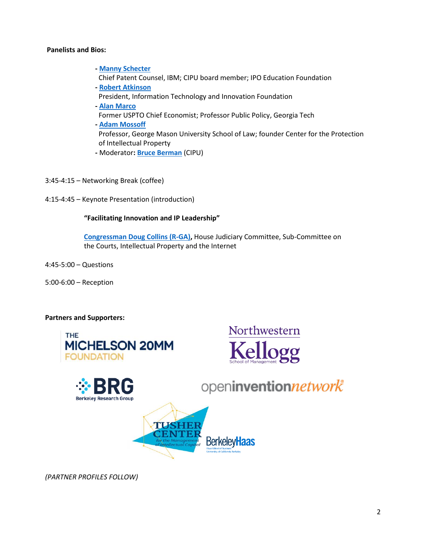## **Panelists and Bios:**

- **- [Manny Schecter](http://www.understandingip.org/wp-content/uploads/2016/05/Manny-W.pdf)** Chief Patent Counsel, IBM; CIPU board member; IPO Education Foundation **- [Robert Atkinson](https://itif.org/person/robert-d-atkinson)**
- President, Information Technology and Innovation Foundation
- **- [Alan Marco](https://spp.gatech.edu/people/person/alan-marco)**
- Former USPTO Chief Economist; Professor Public Policy, Georgia Tech
- **- [Adam Mossoff](https://www.law.gmu.edu/faculty/directory/fulltime/mossoff_adam)** Professor, George Mason University School of Law; founder Center for the Protection of Intellectual Property
- **-** Moderator**: [Bruce Berman](http://www.understandingip.org/wp-content/uploads/2018/04/Bruce_Berman-1.pdf)** (CIPU)
- 3:45-4:15 Networking Break (coffee)
- 4:15-4:45 Keynote Presentation (introduction)

## **"Facilitating Innovation and IP Leadership"**

 **[Congressman Doug Collins \(R-GA\),](https://dougcollins.house.gov/)** House Judiciary Committee, Sub-Committee on the Courts, Intellectual Property and the Internet

4:45-5:00 – Questions

5:00-6:00 – Reception

#### **Partners and Supporters:**







openinventionnetwork<sup>®</sup>



*(PARTNER PROFILES FOLLOW)*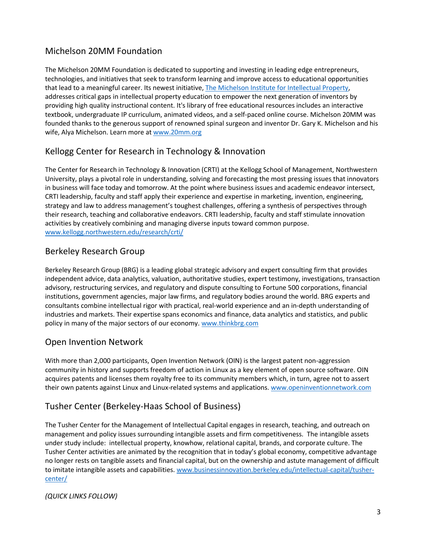# Michelson 20MM Foundation

The Michelson 20MM Foundation is dedicated to supporting and investing in leading edge entrepreneurs, technologies, and initiatives that seek to transform learning and improve access to educational opportunities that lead to a meaningful career. Its newest initiative[, The Michelson Institute for Intellectual Property,](http://michelsonip.com/) addresses critical gaps in intellectual property education to empower the next generation of inventors by providing high quality instructional content. It's library of free educational resources includes an interactive textbook, undergraduate IP curriculum, animated videos, and a self-paced online course. Michelson 20MM was founded thanks to the generous support of renowned spinal surgeon and inventor Dr. Gary K. Michelson and his wife, Alya Michelson. Learn more a[t www.20mm.org](https://20mm.org/)

# Kellogg Center for Research in Technology & Innovation

The Center for Research in Technology & Innovation (CRTI) at the Kellogg School of Management, Northwestern University, plays a pivotal role in understanding, solving and forecasting the most pressing issues that innovators in business will face today and tomorrow. At the point where business issues and academic endeavor intersect, CRTI leadership, faculty and staff apply their experience and expertise in marketing, invention, engineering, strategy and law to address management's toughest challenges, offering a synthesis of perspectives through their research, teaching and collaborative endeavors. CRTI leadership, faculty and staff stimulate innovation activities by creatively combining and managing diverse inputs toward common purpose. [www.kellogg.northwestern.edu/research/crti/](http://www.kellogg.northwestern.edu/research/crti/)

## Berkeley Research Group

Berkeley Research Group (BRG) is a leading global strategic advisory and expert consulting firm that provides independent advice, data analytics, valuation, authoritative studies, expert testimony, investigations, transaction advisory, restructuring services, and regulatory and dispute consulting to Fortune 500 corporations, financial institutions, government agencies, major law firms, and regulatory bodies around the world. BRG experts and consultants combine intellectual rigor with practical, real-world experience and an in-depth understanding of industries and markets. Their expertise spans economics and finance, data analytics and statistics, and public policy in many of the major sectors of our economy[. www.thinkbrg.com](http://www.thinkbrg.com/)

## Open Invention Network

With more than 2,000 participants, Open Invention Network (OIN) is the largest patent non-aggression community in history and supports freedom of action in Linux as a key element of open source software. OIN acquires patents and licenses them royalty free to its community members which, in turn, agree not to assert their own patents against Linux and Linux-related systems and applications[. www.openinventionnetwork.com](http://www.openinventionnetwork.com/)

# Tusher Center (Berkeley-Haas School of Business)

The Tusher Center for the Management of Intellectual Capital engages in research, teaching, and outreach on management and policy issues surrounding intangible assets and firm competitiveness. The intangible assets under study include: intellectual property, knowhow, relational capital, brands, and corporate culture. The Tusher Center activities are animated by the recognition that in today's global economy, competitive advantage no longer rests on tangible assets and financial capital, but on the ownership and astute management of difficult to imitate intangible assets and capabilities. [www.businessinnovation.berkeley.edu/intellectual-capital/tusher](http://businessinnovation.berkeley.edu/intellectual-capital/tusher-center/)[center/](http://businessinnovation.berkeley.edu/intellectual-capital/tusher-center/)

## *(QUICK LINKS FOLLOW)*